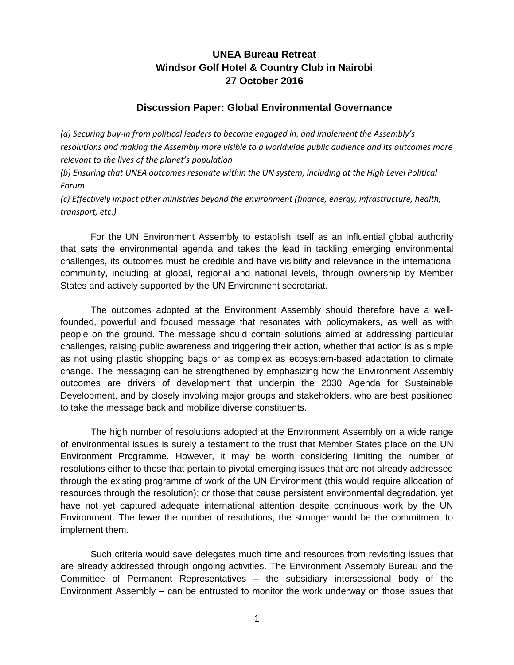## **UNEA Bureau Retreat Windsor Golf Hotel & Country Club in Nairobi 27 October 2016**

## **Discussion Paper: Global Environmental Governance**

*(a) Securing buy-in from political leaders to become engaged in, and implement the Assembly's resolutions and making the Assembly more visible to a worldwide public audience and its outcomes more relevant to the lives of the planet's population*

*(b) Ensuring that UNEA outcomes resonate within the UN system, including at the High Level Political Forum*

*(c) Effectively impact other ministries beyond the environment (finance, energy, infrastructure, health, transport, etc.)*

For the UN Environment Assembly to establish itself as an influential global authority that sets the environmental agenda and takes the lead in tackling emerging environmental challenges, its outcomes must be credible and have visibility and relevance in the international community, including at global, regional and national levels, through ownership by Member States and actively supported by the UN Environment secretariat.

The outcomes adopted at the Environment Assembly should therefore have a wellfounded, powerful and focused message that resonates with policymakers, as well as with people on the ground. The message should contain solutions aimed at addressing particular challenges, raising public awareness and triggering their action, whether that action is as simple as not using plastic shopping bags or as complex as ecosystem-based adaptation to climate change. The messaging can be strengthened by emphasizing how the Environment Assembly outcomes are drivers of development that underpin the 2030 Agenda for Sustainable Development, and by closely involving major groups and stakeholders, who are best positioned to take the message back and mobilize diverse constituents.

The high number of resolutions adopted at the Environment Assembly on a wide range of environmental issues is surely a testament to the trust that Member States place on the UN Environment Programme. However, it may be worth considering limiting the number of resolutions either to those that pertain to pivotal emerging issues that are not already addressed through the existing programme of work of the UN Environment (this would require allocation of resources through the resolution); or those that cause persistent environmental degradation, yet have not yet captured adequate international attention despite continuous work by the UN Environment. The fewer the number of resolutions, the stronger would be the commitment to implement them.

Such criteria would save delegates much time and resources from revisiting issues that are already addressed through ongoing activities. The Environment Assembly Bureau and the Committee of Permanent Representatives – the subsidiary intersessional body of the Environment Assembly – can be entrusted to monitor the work underway on those issues that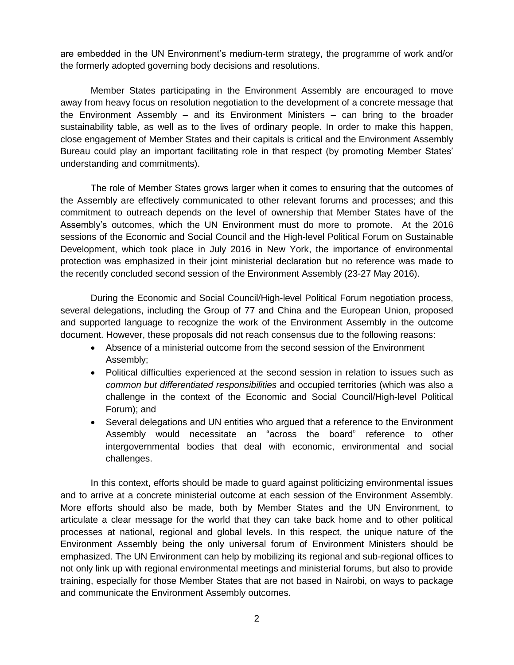are embedded in the UN Environment's medium-term strategy, the programme of work and/or the formerly adopted governing body decisions and resolutions.

Member States participating in the Environment Assembly are encouraged to move away from heavy focus on resolution negotiation to the development of a concrete message that the Environment Assembly – and its Environment Ministers – can bring to the broader sustainability table, as well as to the lives of ordinary people. In order to make this happen, close engagement of Member States and their capitals is critical and the Environment Assembly Bureau could play an important facilitating role in that respect (by promoting Member States' understanding and commitments).

The role of Member States grows larger when it comes to ensuring that the outcomes of the Assembly are effectively communicated to other relevant forums and processes; and this commitment to outreach depends on the level of ownership that Member States have of the Assembly's outcomes, which the UN Environment must do more to promote. At the 2016 sessions of the Economic and Social Council and the High-level Political Forum on Sustainable Development, which took place in July 2016 in New York, the importance of environmental protection was emphasized in their joint ministerial declaration but no reference was made to the recently concluded second session of the Environment Assembly (23-27 May 2016).

During the Economic and Social Council/High-level Political Forum negotiation process, several delegations, including the Group of 77 and China and the European Union, proposed and supported language to recognize the work of the Environment Assembly in the outcome document. However, these proposals did not reach consensus due to the following reasons:

- Absence of a ministerial outcome from the second session of the Environment Assembly;
- Political difficulties experienced at the second session in relation to issues such as *common but differentiated responsibilities* and occupied territories (which was also a challenge in the context of the Economic and Social Council/High-level Political Forum); and
- Several delegations and UN entities who argued that a reference to the Environment Assembly would necessitate an "across the board" reference to other intergovernmental bodies that deal with economic, environmental and social challenges.

In this context, efforts should be made to guard against politicizing environmental issues and to arrive at a concrete ministerial outcome at each session of the Environment Assembly. More efforts should also be made, both by Member States and the UN Environment, to articulate a clear message for the world that they can take back home and to other political processes at national, regional and global levels. In this respect, the unique nature of the Environment Assembly being the only universal forum of Environment Ministers should be emphasized. The UN Environment can help by mobilizing its regional and sub-regional offices to not only link up with regional environmental meetings and ministerial forums, but also to provide training, especially for those Member States that are not based in Nairobi, on ways to package and communicate the Environment Assembly outcomes.